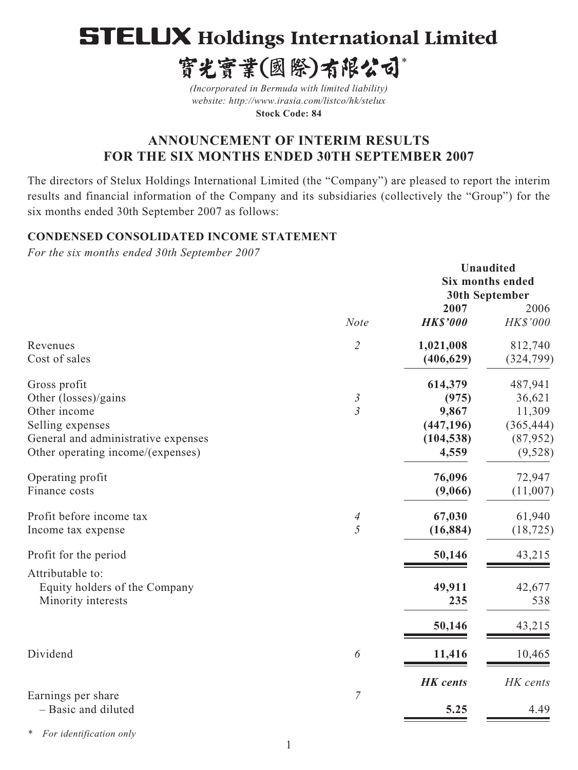# **STELUX Holdings International Limited**

寳光寳業(國際)有限公司\*

*(Incorporated in Bermuda with limited liability) website: http://www.irasia.com/listco/hk/stelux*  **Stock Code: 84**

# **ANNOUNCEMENT OF INTERIM RESULTS FOR THE SIX MONTHS ENDED 30TH SEPTEMBER 2007**

The directors of Stelux Holdings International Limited (the "Company") are pleased to report the interim results and financial information of the Company and its subsidiaries (collectively the "Group") for the six months ended 30th September 2007 as follows:

# **CONDENSED CONSOLIDATED INCOME STATEMENT**

*For the six months ended 30th September 2007*

|                                                                                                                                                      |                                  |                                                                | Unaudited<br><b>Six months ended</b><br><b>30th September</b>     |
|------------------------------------------------------------------------------------------------------------------------------------------------------|----------------------------------|----------------------------------------------------------------|-------------------------------------------------------------------|
|                                                                                                                                                      | <b>Note</b>                      | 2007<br><b>HK\$'000</b>                                        | 2006<br>HK\$'000                                                  |
| Revenues<br>Cost of sales                                                                                                                            | $\mathcal{L}_{\mathcal{L}}$      | 1,021,008<br>(406, 629)                                        | 812,740<br>(324,799)                                              |
| Gross profit<br>Other (losses)/gains<br>Other income<br>Selling expenses<br>General and administrative expenses<br>Other operating income/(expenses) | $\mathfrak{Z}$<br>$\mathfrak{Z}$ | 614,379<br>(975)<br>9,867<br>(447, 196)<br>(104, 538)<br>4,559 | 487,941<br>36,621<br>11,309<br>(365, 444)<br>(87, 952)<br>(9,528) |
| Operating profit<br>Finance costs                                                                                                                    |                                  | 76,096<br>(9,066)                                              | 72,947<br>(11,007)                                                |
| Profit before income tax<br>Income tax expense                                                                                                       | $\overline{A}$<br>$\overline{5}$ | 67,030<br>(16, 884)                                            | 61,940<br>(18, 725)                                               |
| Profit for the period<br>Attributable to:<br>Equity holders of the Company                                                                           |                                  | 50,146<br>49,911                                               | 43,215<br>42,677                                                  |
| Minority interests                                                                                                                                   |                                  | 235<br>50,146                                                  | 538<br>43,215                                                     |
| Dividend                                                                                                                                             | 6                                | 11,416                                                         | 10,465                                                            |
| Earnings per share<br>- Basic and diluted                                                                                                            | $\boldsymbol{7}$                 | <b>HK</b> cents<br>5.25                                        | HK cents<br>4.49                                                  |

*\* For identification only*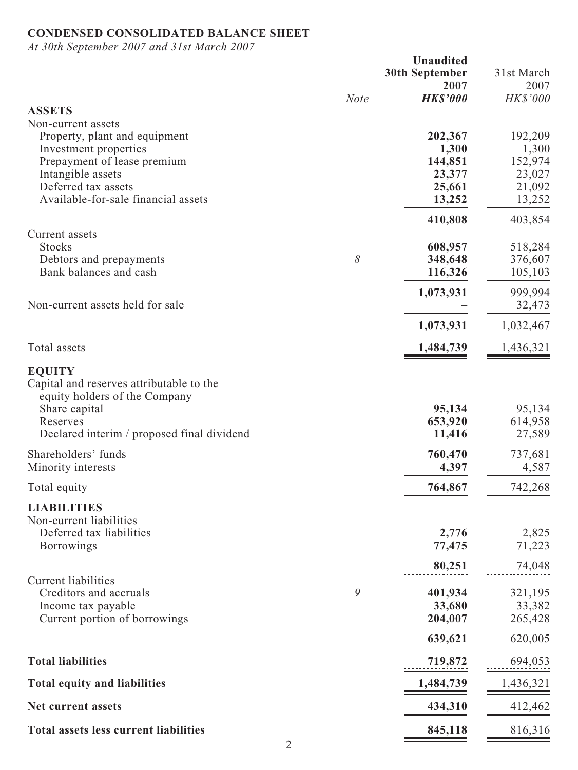# **CONDENSED CONSOLIDATED BALANCE SHEET**

*At 30th September 2007 and 31st March 2007*

|                                                     | <b>Unaudited</b><br><b>30th September</b><br>2007 | 31st March<br>2007 |
|-----------------------------------------------------|---------------------------------------------------|--------------------|
| <b>Note</b>                                         | <b>HK\$'000</b>                                   | <b>HK\$'000</b>    |
| <b>ASSETS</b><br>Non-current assets                 |                                                   |                    |
| Property, plant and equipment                       | 202,367                                           | 192,209            |
| Investment properties                               | 1,300                                             | 1,300              |
| Prepayment of lease premium                         | 144,851                                           | 152,974            |
| Intangible assets                                   | 23,377                                            | 23,027             |
| Deferred tax assets                                 | 25,661                                            | 21,092             |
| Available-for-sale financial assets                 | 13,252                                            | 13,252             |
|                                                     | 410,808                                           | 403,854            |
| Current assets                                      |                                                   |                    |
| <b>Stocks</b><br>8<br>Debtors and prepayments       | 608,957<br>348,648                                | 518,284<br>376,607 |
| Bank balances and cash                              | 116,326                                           | 105,103            |
|                                                     | 1,073,931                                         | 999,994            |
| Non-current assets held for sale                    |                                                   | 32,473             |
|                                                     | 1,073,931                                         | 1,032,467          |
| Total assets                                        | 1,484,739                                         | 1,436,321          |
| <b>EQUITY</b>                                       |                                                   |                    |
| Capital and reserves attributable to the            |                                                   |                    |
| equity holders of the Company                       |                                                   |                    |
| Share capital                                       | 95,134                                            | 95,134             |
| Reserves                                            | 653,920                                           | 614,958            |
| Declared interim / proposed final dividend          | 11,416                                            | 27,589             |
| Shareholders' funds                                 | 760,470                                           | 737,681            |
| Minority interests                                  | 4,397                                             | 4,587              |
| Total equity                                        | 764,867                                           | 742,268            |
| <b>LIABILITIES</b>                                  |                                                   |                    |
| Non-current liabilities<br>Deferred tax liabilities |                                                   |                    |
| <b>Borrowings</b>                                   | 2,776<br>77,475                                   | 2,825<br>71,223    |
|                                                     |                                                   |                    |
| <b>Current liabilities</b>                          | 80,251                                            | 74,048             |
| 9<br>Creditors and accruals                         | 401,934                                           | 321,195            |
| Income tax payable                                  | 33,680                                            | 33,382             |
| Current portion of borrowings                       | 204,007                                           | 265,428            |
|                                                     | 639,621                                           | 620,005            |
| <b>Total liabilities</b>                            | 719,872                                           | 694,053            |
| <b>Total equity and liabilities</b>                 | 1,484,739                                         | 1,436,321          |
| Net current assets                                  | 434,310                                           | 412,462            |
| <b>Total assets less current liabilities</b>        | 845,118                                           | 816,316            |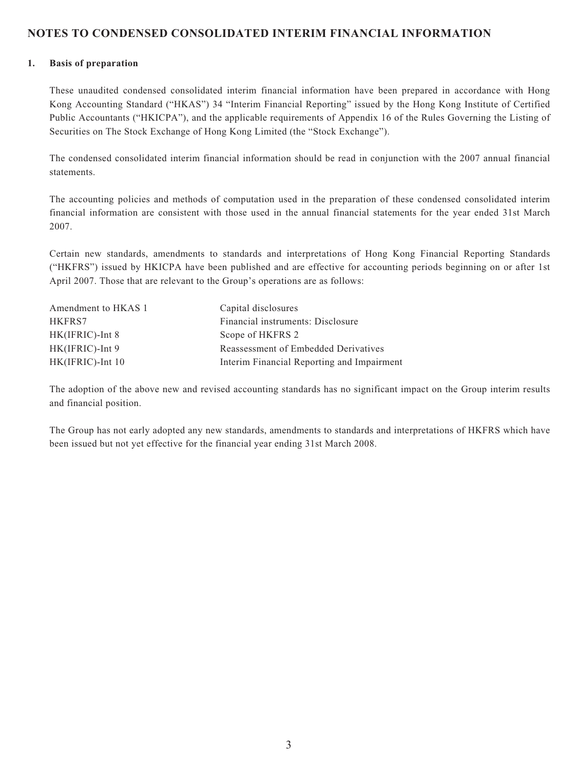### **NOTES TO CONDENSED CONSOLIDATED INTERIM FINANCIAL INFORMATION**

#### **1. Basis of preparation**

These unaudited condensed consolidated interim financial information have been prepared in accordance with Hong Kong Accounting Standard ("HKAS") 34 "Interim Financial Reporting" issued by the Hong Kong Institute of Certified Public Accountants ("HKICPA"), and the applicable requirements of Appendix 16 of the Rules Governing the Listing of Securities on The Stock Exchange of Hong Kong Limited (the "Stock Exchange").

The condensed consolidated interim financial information should be read in conjunction with the 2007 annual financial statements.

The accounting policies and methods of computation used in the preparation of these condensed consolidated interim financial information are consistent with those used in the annual financial statements for the year ended 31st March 2007.

Certain new standards, amendments to standards and interpretations of Hong Kong Financial Reporting Standards ("HKFRS") issued by HKICPA have been published and are effective for accounting periods beginning on or after 1st April 2007. Those that are relevant to the Group's operations are as follows:

| Amendment to HKAS 1 | Capital disclosures                        |
|---------------------|--------------------------------------------|
| HKFRS7              | Financial instruments: Disclosure          |
| $HK(IFRIC)$ -Int 8  | Scope of HKFRS 2                           |
| $HK(IFRIC)$ -Int 9  | Reassessment of Embedded Derivatives       |
| HK(IFRIC)-Int 10    | Interim Financial Reporting and Impairment |

The adoption of the above new and revised accounting standards has no significant impact on the Group interim results and financial position.

The Group has not early adopted any new standards, amendments to standards and interpretations of HKFRS which have been issued but not yet effective for the financial year ending 31st March 2008.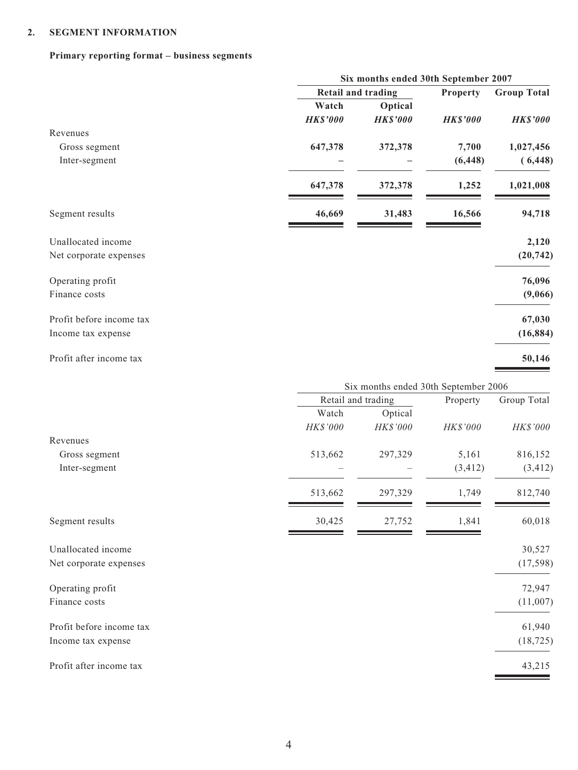### **2. SEGMENT INFORMATION**

# **Primary reporting format – business segments**

|                 |                 | Property                                                   | <b>Group Total</b>                                                                                |
|-----------------|-----------------|------------------------------------------------------------|---------------------------------------------------------------------------------------------------|
| Watch           | Optical         |                                                            |                                                                                                   |
| <b>HK\$'000</b> | <b>HK\$'000</b> | <b>HK\$'000</b>                                            | <b>HK\$'000</b>                                                                                   |
|                 |                 |                                                            |                                                                                                   |
| 647,378         | 372,378         | 7,700                                                      | 1,027,456                                                                                         |
|                 |                 | (6, 448)                                                   | (6, 448)                                                                                          |
| 647,378         | 372,378         | 1,252                                                      | 1,021,008                                                                                         |
| 46,669          | 31,483          | 16,566                                                     | 94,718                                                                                            |
|                 |                 |                                                            | 2,120                                                                                             |
|                 |                 |                                                            | (20, 742)                                                                                         |
|                 |                 |                                                            | 76,096                                                                                            |
|                 |                 |                                                            | (9,066)                                                                                           |
|                 |                 |                                                            | 67,030                                                                                            |
|                 |                 |                                                            | (16, 884)                                                                                         |
|                 |                 |                                                            | 50,146                                                                                            |
|                 |                 |                                                            |                                                                                                   |
|                 |                 | Property                                                   | Group Total                                                                                       |
| Watch           | Optical         |                                                            |                                                                                                   |
| HK\$'000        | HK\$'000        | HK\$'000                                                   | HK\$'000                                                                                          |
|                 |                 |                                                            |                                                                                                   |
|                 |                 |                                                            | 816,152                                                                                           |
|                 |                 |                                                            | (3, 412)                                                                                          |
| 513,662         | 297,329         | 1,749                                                      | 812,740                                                                                           |
| 30,425          | 27,752          | 1,841                                                      | 60,018                                                                                            |
|                 |                 |                                                            | 30,527                                                                                            |
|                 |                 |                                                            | (17, 598)                                                                                         |
|                 |                 |                                                            | 72,947                                                                                            |
|                 |                 |                                                            | (11,007)                                                                                          |
|                 |                 |                                                            |                                                                                                   |
|                 |                 |                                                            |                                                                                                   |
|                 |                 |                                                            | 61,940<br>(18, 725)                                                                               |
|                 | 513,662         | <b>Retail and trading</b><br>Retail and trading<br>297,329 | Six months ended 30th September 2007<br>Six months ended 30th September 2006<br>5,161<br>(3, 412) |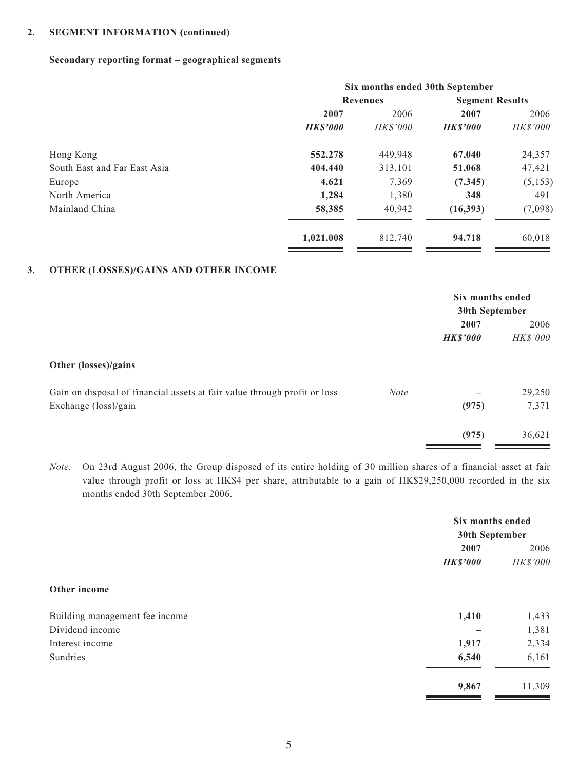### **2. SEGMENT INFORMATION (continued)**

### **Secondary reporting format – geographical segments**

|                              | Six months ended 30th September |                 |                        |                 |
|------------------------------|---------------------------------|-----------------|------------------------|-----------------|
|                              |                                 | <b>Revenues</b> | <b>Segment Results</b> |                 |
|                              | 2007                            | 2006            | 2007                   | 2006            |
|                              | <b>HKS'000</b>                  | <i>HK\$'000</i> | <b>HKS'000</b>         | <i>HK\$'000</i> |
| Hong Kong                    | 552,278                         | 449,948         | 67,040                 | 24,357          |
| South East and Far East Asia | 404,440                         | 313,101         | 51,068                 | 47,421          |
| Europe                       | 4,621                           | 7,369           | (7, 345)               | (5, 153)        |
| North America                | 1,284                           | 1,380           | 348                    | 491             |
| Mainland China               | 58,385                          | 40,942          | (16,393)               | (7,098)         |
|                              | 1,021,008                       | 812,740         | 94,718                 | 60,018          |

#### **3. OTHER (LOSSES)/GAINS AND OTHER INCOME**

|                                                                           |             | Six months ended<br>30th September |                  |
|---------------------------------------------------------------------------|-------------|------------------------------------|------------------|
|                                                                           |             | 2007<br><b>HK\$'000</b>            | 2006<br>HK\$'000 |
| Other (losses)/gains                                                      |             |                                    |                  |
| Gain on disposal of financial assets at fair value through profit or loss | <b>Note</b> |                                    | 29,250           |
| Exchange (loss)/gain                                                      |             | (975)                              | 7,371            |
|                                                                           |             | (975)                              | 36,621           |

*Note:* On 23rd August 2006, the Group disposed of its entire holding of 30 million shares of a financial asset at fair value through profit or loss at HK\$4 per share, attributable to a gain of HK\$29,250,000 recorded in the six months ended 30th September 2006.

|                                | Six months ended |          |
|--------------------------------|------------------|----------|
|                                | 30th September   |          |
|                                | 2007             | 2006     |
|                                | <b>HK\$'000</b>  | HK\$'000 |
| Other income                   |                  |          |
| Building management fee income | 1,410            | 1,433    |
| Dividend income                |                  | 1,381    |
| Interest income                | 1,917            | 2,334    |
| Sundries                       | 6,540            | 6,161    |
|                                | 9,867            | 11,309   |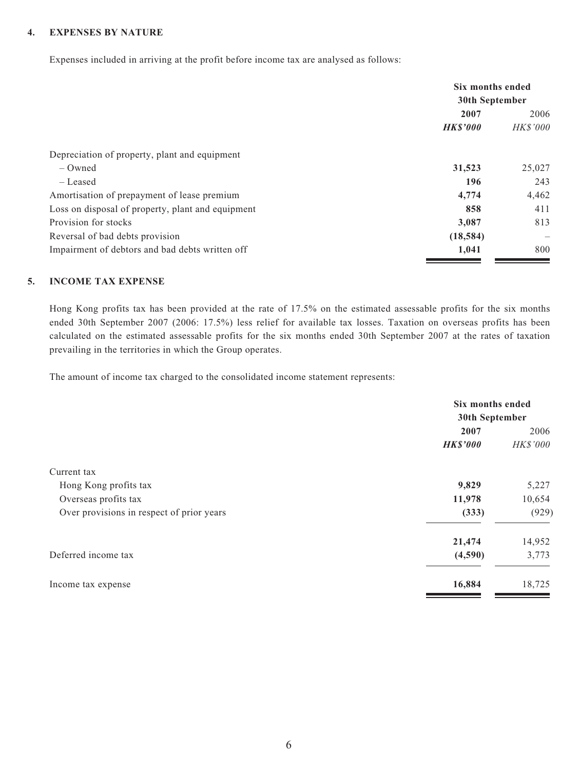### **4. EXPENSES BY NATURE**

Expenses included in arriving at the profit before income tax are analysed as follows:

|                                                   | Six months ended<br>30th September |                          |
|---------------------------------------------------|------------------------------------|--------------------------|
|                                                   | 2007                               | 2006                     |
|                                                   | <b>HKS'000</b>                     | <i>HK\$'000</i>          |
| Depreciation of property, plant and equipment     |                                    |                          |
| $-$ Owned                                         | 31,523                             | 25,027                   |
| – Leased                                          | 196                                | 243                      |
| Amortisation of prepayment of lease premium       | 4,774                              | 4,462                    |
| Loss on disposal of property, plant and equipment | 858                                | 411                      |
| Provision for stocks                              | 3,087                              | 813                      |
| Reversal of bad debts provision                   | (18, 584)                          | $\overline{\phantom{m}}$ |
| Impairment of debtors and bad debts written off   | 1,041                              | 800                      |

#### **5. INCOME TAX EXPENSE**

Hong Kong profits tax has been provided at the rate of 17.5% on the estimated assessable profits for the six months ended 30th September 2007 (2006: 17.5%) less relief for available tax losses. Taxation on overseas profits has been calculated on the estimated assessable profits for the six months ended 30th September 2007 at the rates of taxation prevailing in the territories in which the Group operates.

The amount of income tax charged to the consolidated income statement represents:

|                                           | Six months ended |                |  |
|-------------------------------------------|------------------|----------------|--|
|                                           |                  | 30th September |  |
|                                           | 2007             | 2006           |  |
|                                           | <b>HK\$'000</b>  | HK\$'000       |  |
| Current tax                               |                  |                |  |
| Hong Kong profits tax                     | 9,829            | 5,227          |  |
| Overseas profits tax                      | 11,978           | 10,654         |  |
| Over provisions in respect of prior years | (333)            | (929)          |  |
|                                           | 21,474           | 14,952         |  |
| Deferred income tax                       | (4,590)          | 3,773          |  |
| Income tax expense                        | 16,884           | 18,725         |  |
|                                           |                  |                |  |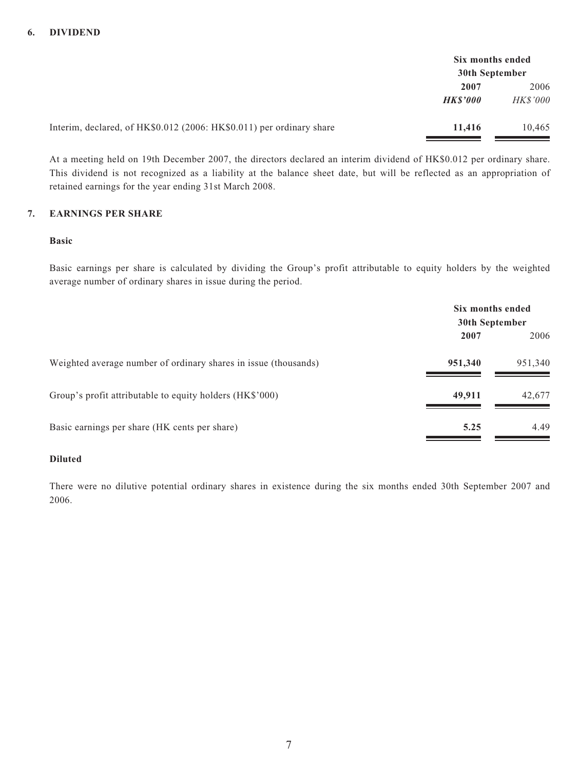|                                                                      | Six months ended |                 |
|----------------------------------------------------------------------|------------------|-----------------|
|                                                                      | 30th September   |                 |
|                                                                      | 2007             | 2006            |
|                                                                      | <b>HKS'000</b>   | <i>HK\$'000</i> |
| Interim, declared, of HK\$0.012 (2006: HK\$0.011) per ordinary share | 11,416           | 10,465          |

At a meeting held on 19th December 2007, the directors declared an interim dividend of HK\$0.012 per ordinary share. This dividend is not recognized as a liability at the balance sheet date, but will be reflected as an appropriation of retained earnings for the year ending 31st March 2008.

### **7. EARNINGS PER SHARE**

#### **Basic**

Basic earnings per share is calculated by dividing the Group's profit attributable to equity holders by the weighted average number of ordinary shares in issue during the period.

|                                                                 | Six months ended<br>30th September |         |
|-----------------------------------------------------------------|------------------------------------|---------|
|                                                                 | 2007                               | 2006    |
| Weighted average number of ordinary shares in issue (thousands) | 951,340                            | 951,340 |
| Group's profit attributable to equity holders (HK\$'000)        | 49,911                             | 42,677  |
| Basic earnings per share (HK cents per share)                   | 5.25                               | 4.49    |

### **Diluted**

There were no dilutive potential ordinary shares in existence during the six months ended 30th September 2007 and 2006.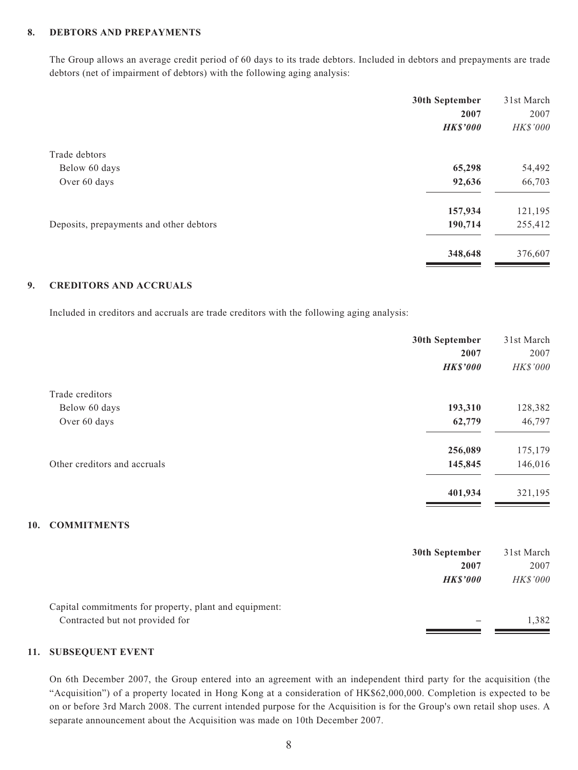### **8. DEBTORS AND PREPAYMENTS**

The Group allows an average credit period of 60 days to its trade debtors. Included in debtors and prepayments are trade debtors (net of impairment of debtors) with the following aging analysis:

|                                         | 30th September  | 31st March |
|-----------------------------------------|-----------------|------------|
|                                         | 2007            | 2007       |
|                                         | <b>HK\$'000</b> | HK\$'000   |
| Trade debtors                           |                 |            |
| Below 60 days                           | 65,298          | 54,492     |
| Over 60 days                            | 92,636          | 66,703     |
|                                         | 157,934         | 121,195    |
| Deposits, prepayments and other debtors | 190,714         | 255,412    |
|                                         | 348,648         | 376,607    |

#### **9. CREDITORS AND ACCRUALS**

Included in creditors and accruals are trade creditors with the following aging analysis:

|                                                        | 30th September  | 31st March |
|--------------------------------------------------------|-----------------|------------|
|                                                        | 2007            | 2007       |
|                                                        | <b>HK\$'000</b> | HK\$'000   |
| Trade creditors                                        |                 |            |
| Below 60 days                                          | 193,310         | 128,382    |
| Over 60 days                                           | 62,779          | 46,797     |
|                                                        | 256,089         | 175,179    |
| Other creditors and accruals                           | 145,845         | 146,016    |
|                                                        | 401,934         | 321,195    |
| <b>COMMITMENTS</b>                                     |                 |            |
|                                                        | 30th September  | 31st March |
|                                                        | 2007            | 2007       |
|                                                        | <b>HK\$'000</b> | HK\$'000   |
| Capital commitments for property, plant and equipment: |                 |            |
| Contracted but not provided for                        |                 | 1,382      |

### **11. SUBSEQUENT EVENT**

**10.** 

On 6th December 2007, the Group entered into an agreement with an independent third party for the acquisition (the "Acquisition") of a property located in Hong Kong at a consideration of HK\$62,000,000. Completion is expected to be on or before 3rd March 2008. The current intended purpose for the Acquisition is for the Group's own retail shop uses. A separate announcement about the Acquisition was made on 10th December 2007.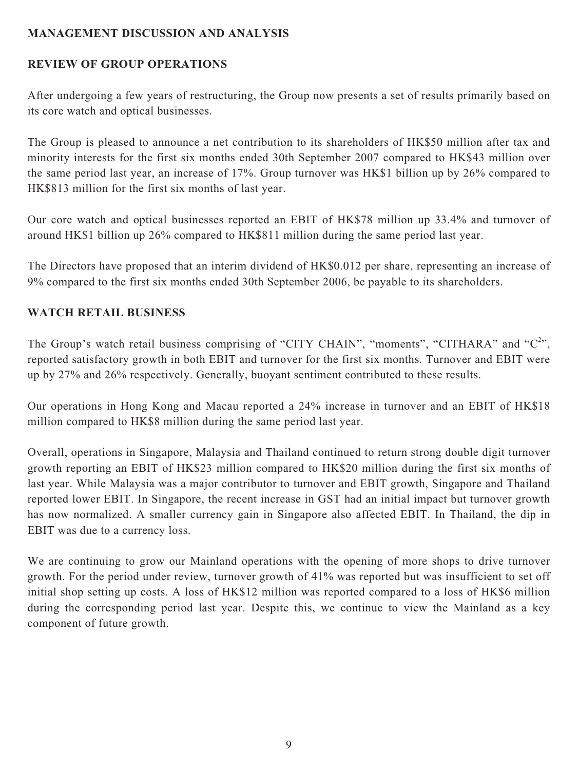# **MANAGEMENT DISCUSSION AND ANALYSIS**

# **REVIEW OF GROUP OPERATIONS**

After undergoing a few years of restructuring, the Group now presents a set of results primarily based on its core watch and optical businesses.

The Group is pleased to announce a net contribution to its shareholders of HK\$50 million after tax and minority interests for the first six months ended 30th September 2007 compared to HK\$43 million over the same period last year, an increase of 17%. Group turnover was HK\$1 billion up by 26% compared to HK\$813 million for the first six months of last year.

Our core watch and optical businesses reported an EBIT of HK\$78 million up 33.4% and turnover of around HK\$1 billion up 26% compared to HK\$811 million during the same period last year.

The Directors have proposed that an interim dividend of HK\$0.012 per share, representing an increase of 9% compared to the first six months ended 30th September 2006, be payable to its shareholders.

# **WATCH RETAIL BUSINESS**

The Group's watch retail business comprising of "CITY CHAIN", "moments", "CITHARA" and " $C^{2}$ ", reported satisfactory growth in both EBIT and turnover for the first six months. Turnover and EBIT were up by 27% and 26% respectively. Generally, buoyant sentiment contributed to these results.

Our operations in Hong Kong and Macau reported a 24% increase in turnover and an EBIT of HK\$18 million compared to HK\$8 million during the same period last year.

Overall, operations in Singapore, Malaysia and Thailand continued to return strong double digit turnover growth reporting an EBIT of HK\$23 million compared to HK\$20 million during the first six months of last year. While Malaysia was a major contributor to turnover and EBIT growth, Singapore and Thailand reported lower EBIT. In Singapore, the recent increase in GST had an initial impact but turnover growth has now normalized. A smaller currency gain in Singapore also affected EBIT. In Thailand, the dip in EBIT was due to a currency loss.

We are continuing to grow our Mainland operations with the opening of more shops to drive turnover growth. For the period under review, turnover growth of 41% was reported but was insufficient to set off initial shop setting up costs. A loss of HK\$12 million was reported compared to a loss of HK\$6 million during the corresponding period last year. Despite this, we continue to view the Mainland as a key component of future growth.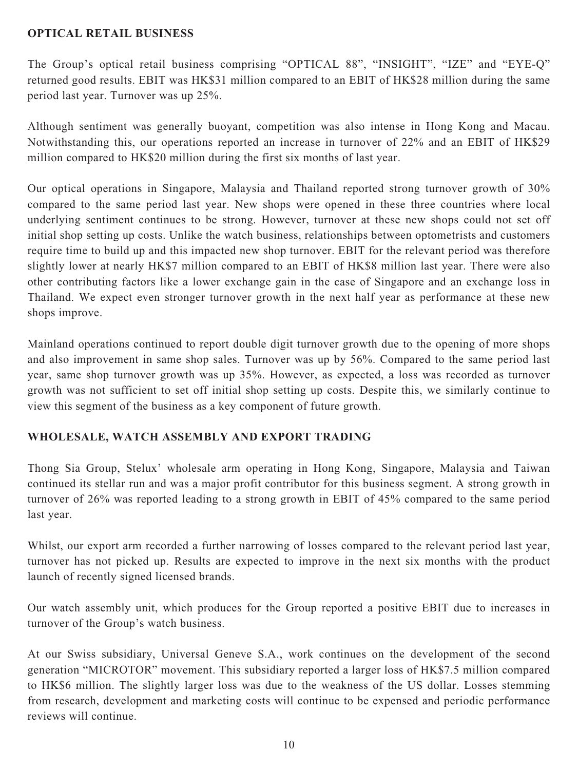# **OPTICAL RETAIL BUSINESS**

The Group's optical retail business comprising "OPTICAL 88", "INSIGHT", "IZE" and "EYE-Q" returned good results. EBIT was HK\$31 million compared to an EBIT of HK\$28 million during the same period last year. Turnover was up 25%.

Although sentiment was generally buoyant, competition was also intense in Hong Kong and Macau. Notwithstanding this, our operations reported an increase in turnover of 22% and an EBIT of HK\$29 million compared to HK\$20 million during the first six months of last year.

Our optical operations in Singapore, Malaysia and Thailand reported strong turnover growth of 30% compared to the same period last year. New shops were opened in these three countries where local underlying sentiment continues to be strong. However, turnover at these new shops could not set off initial shop setting up costs. Unlike the watch business, relationships between optometrists and customers require time to build up and this impacted new shop turnover. EBIT for the relevant period was therefore slightly lower at nearly HK\$7 million compared to an EBIT of HK\$8 million last year. There were also other contributing factors like a lower exchange gain in the case of Singapore and an exchange loss in Thailand. We expect even stronger turnover growth in the next half year as performance at these new shops improve.

Mainland operations continued to report double digit turnover growth due to the opening of more shops and also improvement in same shop sales. Turnover was up by 56%. Compared to the same period last year, same shop turnover growth was up 35%. However, as expected, a loss was recorded as turnover growth was not sufficient to set off initial shop setting up costs. Despite this, we similarly continue to view this segment of the business as a key component of future growth.

# **WHOLESALE, WATCH ASSEMBLY AND EXPORT TRADING**

Thong Sia Group, Stelux' wholesale arm operating in Hong Kong, Singapore, Malaysia and Taiwan continued its stellar run and was a major profit contributor for this business segment. A strong growth in turnover of 26% was reported leading to a strong growth in EBIT of 45% compared to the same period last year.

Whilst, our export arm recorded a further narrowing of losses compared to the relevant period last year, turnover has not picked up. Results are expected to improve in the next six months with the product launch of recently signed licensed brands.

Our watch assembly unit, which produces for the Group reported a positive EBIT due to increases in turnover of the Group's watch business.

At our Swiss subsidiary, Universal Geneve S.A., work continues on the development of the second generation "MICROTOR" movement. This subsidiary reported a larger loss of HK\$7.5 million compared to HK\$6 million. The slightly larger loss was due to the weakness of the US dollar. Losses stemming from research, development and marketing costs will continue to be expensed and periodic performance reviews will continue.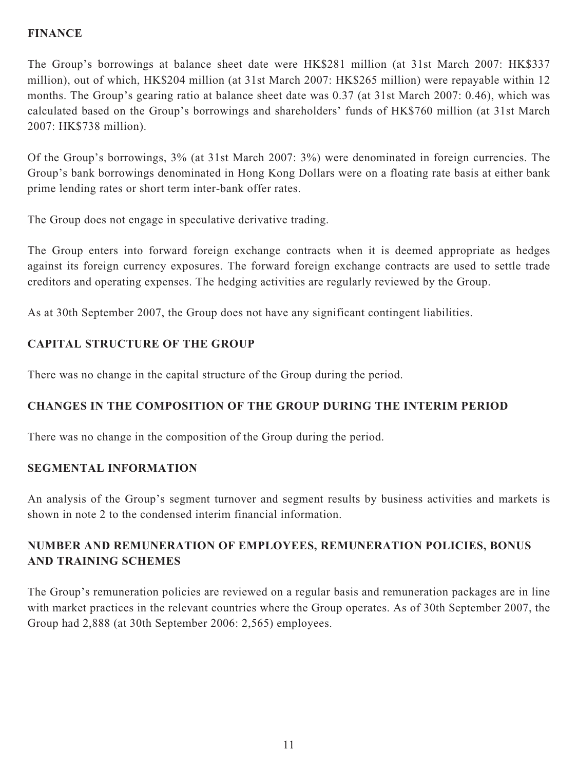# **FINANCE**

The Group's borrowings at balance sheet date were HK\$281 million (at 31st March 2007: HK\$337 million), out of which, HK\$204 million (at 31st March 2007: HK\$265 million) were repayable within 12 months. The Group's gearing ratio at balance sheet date was 0.37 (at 31st March 2007: 0.46), which was calculated based on the Group's borrowings and shareholders' funds of HK\$760 million (at 31st March 2007: HK\$738 million).

Of the Group's borrowings, 3% (at 31st March 2007: 3%) were denominated in foreign currencies. The Group's bank borrowings denominated in Hong Kong Dollars were on a floating rate basis at either bank prime lending rates or short term inter-bank offer rates.

The Group does not engage in speculative derivative trading.

The Group enters into forward foreign exchange contracts when it is deemed appropriate as hedges against its foreign currency exposures. The forward foreign exchange contracts are used to settle trade creditors and operating expenses. The hedging activities are regularly reviewed by the Group.

As at 30th September 2007, the Group does not have any significant contingent liabilities.

# **CAPITAL STRUCTURE OF THE GROUP**

There was no change in the capital structure of the Group during the period.

# **CHANGES IN THE COMPOSITION OF THE GROUP DURING THE INTERIM PERIOD**

There was no change in the composition of the Group during the period.

# **SEGMENTAL INFORMATION**

An analysis of the Group's segment turnover and segment results by business activities and markets is shown in note 2 to the condensed interim financial information.

# **NUMBER AND REMUNERATION OF EMPLOYEES, REMUNERATION POLICIES, BONUS AND TRAINING SCHEMES**

The Group's remuneration policies are reviewed on a regular basis and remuneration packages are in line with market practices in the relevant countries where the Group operates. As of 30th September 2007, the Group had 2,888 (at 30th September 2006: 2,565) employees.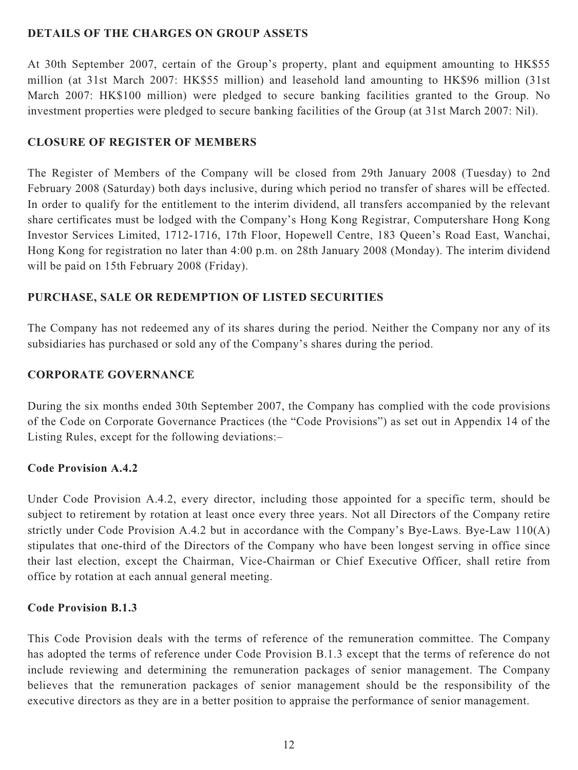# **DETAILS OF THE CHARGES ON GROUP ASSETS**

At 30th September 2007, certain of the Group's property, plant and equipment amounting to HK\$55 million (at 31st March 2007: HK\$55 million) and leasehold land amounting to HK\$96 million (31st March 2007: HK\$100 million) were pledged to secure banking facilities granted to the Group. No investment properties were pledged to secure banking facilities of the Group (at 31st March 2007: Nil).

# **CLOSURE OF REGISTER OF MEMBERS**

The Register of Members of the Company will be closed from 29th January 2008 (Tuesday) to 2nd February 2008 (Saturday) both days inclusive, during which period no transfer of shares will be effected. In order to qualify for the entitlement to the interim dividend, all transfers accompanied by the relevant share certificates must be lodged with the Company's Hong Kong Registrar, Computershare Hong Kong Investor Services Limited, 1712-1716, 17th Floor, Hopewell Centre, 183 Queen's Road East, Wanchai, Hong Kong for registration no later than 4:00 p.m. on 28th January 2008 (Monday). The interim dividend will be paid on 15th February 2008 (Friday).

# **PURCHASE, SALE OR REDEMPTION OF LISTED SECURITIES**

The Company has not redeemed any of its shares during the period. Neither the Company nor any of its subsidiaries has purchased or sold any of the Company's shares during the period.

# **CORPORATE GOVERNANCE**

During the six months ended 30th September 2007, the Company has complied with the code provisions of the Code on Corporate Governance Practices (the "Code Provisions") as set out in Appendix 14 of the Listing Rules, except for the following deviations:–

# **Code Provision A.4.2**

Under Code Provision A.4.2, every director, including those appointed for a specific term, should be subject to retirement by rotation at least once every three years. Not all Directors of the Company retire strictly under Code Provision A.4.2 but in accordance with the Company's Bye-Laws. Bye-Law 110(A) stipulates that one-third of the Directors of the Company who have been longest serving in office since their last election, except the Chairman, Vice-Chairman or Chief Executive Officer, shall retire from office by rotation at each annual general meeting.

# **Code Provision B.1.3**

This Code Provision deals with the terms of reference of the remuneration committee. The Company has adopted the terms of reference under Code Provision B.1.3 except that the terms of reference do not include reviewing and determining the remuneration packages of senior management. The Company believes that the remuneration packages of senior management should be the responsibility of the executive directors as they are in a better position to appraise the performance of senior management.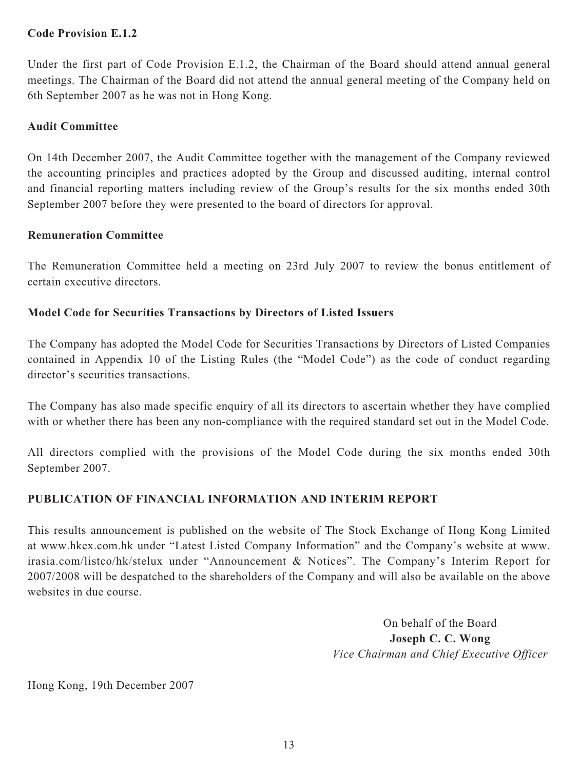# **Code Provision E.1.2**

Under the first part of Code Provision E.1.2, the Chairman of the Board should attend annual general meetings. The Chairman of the Board did not attend the annual general meeting of the Company held on 6th September 2007 as he was not in Hong Kong.

# **Audit Committee**

On 14th December 2007, the Audit Committee together with the management of the Company reviewed the accounting principles and practices adopted by the Group and discussed auditing, internal control and financial reporting matters including review of the Group's results for the six months ended 30th September 2007 before they were presented to the board of directors for approval.

# **Remuneration Committee**

The Remuneration Committee held a meeting on 23rd July 2007 to review the bonus entitlement of certain executive directors.

# **Model Code for Securities Transactions by Directors of Listed Issuers**

The Company has adopted the Model Code for Securities Transactions by Directors of Listed Companies contained in Appendix 10 of the Listing Rules (the "Model Code") as the code of conduct regarding director's securities transactions.

The Company has also made specific enquiry of all its directors to ascertain whether they have complied with or whether there has been any non-compliance with the required standard set out in the Model Code.

All directors complied with the provisions of the Model Code during the six months ended 30th September 2007.

# **PUBLICATION OF FINANCIAL INFORMATION AND INTERIM REPORT**

This results announcement is published on the website of The Stock Exchange of Hong Kong Limited at www.hkex.com.hk under "Latest Listed Company Information" and the Company's website at www. irasia.com/listco/hk/stelux under "Announcement & Notices". The Company's Interim Report for 2007/2008 will be despatched to the shareholders of the Company and will also be available on the above websites in due course.

> On behalf of the Board **Joseph C. C. Wong** *Vice Chairman and Chief Executive Officer*

Hong Kong, 19th December 2007